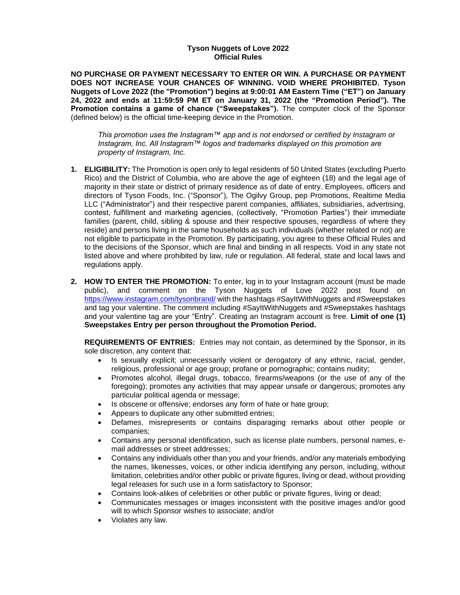## **Tyson Nuggets of Love 2022 Official Rules**

**NO PURCHASE OR PAYMENT NECESSARY TO ENTER OR WIN. A PURCHASE OR PAYMENT DOES NOT INCREASE YOUR CHANCES OF WINNING. VOID WHERE PROHIBITED. Tyson Nuggets of Love 2022 (the "Promotion") begins at 9:00:01 AM Eastern Time ("ET") on January 24, 2022 and ends at 11:59:59 PM ET on January 31, 2022 (the "Promotion Period"). The Promotion contains a game of chance ("Sweepstakes").** The computer clock of the Sponsor (defined below) is the official time-keeping device in the Promotion.

*This promotion uses the Instagram™ app and is not endorsed or certified by Instagram or Instagram, Inc. All Instagram™ logos and trademarks displayed on this promotion are property of Instagram, Inc.*

- **1. ELIGIBILITY:** The Promotion is open only to legal residents of 50 United States (excluding Puerto Rico) and the District of Columbia, who are above the age of eighteen (18) and the legal age of majority in their state or district of primary residence as of date of entry. Employees, officers and directors of Tyson Foods, Inc. ("Sponsor"), The Ogilvy Group, pep Promotions, Realtime Media LLC ("Administrator") and their respective parent companies, affiliates, subsidiaries, advertising, contest, fulfillment and marketing agencies, (collectively, "Promotion Parties") their immediate families (parent, child, sibling & spouse and their respective spouses, regardless of where they reside) and persons living in the same households as such individuals (whether related or not) are not eligible to participate in the Promotion. By participating, you agree to these Official Rules and to the decisions of the Sponsor, which are final and binding in all respects. Void in any state not listed above and where prohibited by law, rule or regulation. All federal, state and local laws and regulations apply.
- **2. HOW TO ENTER THE PROMOTION:** To enter, log in to your Instagram account (must be made public), and comment on the Tyson Nuggets of Love 2022 post found on <https://www.instagram.com/tysonbrand/> with the hashtags #SayItWithNuggets and #Sweepstakes and tag your valentine. The comment including #SayItWithNuggets and #Sweepstakes hashtags and your valentine tag are your "Entry". Creating an Instagram account is free. **Limit of one (1) Sweepstakes Entry per person throughout the Promotion Period.**

**REQUIREMENTS OF ENTRIES:** Entries may not contain, as determined by the Sponsor, in its sole discretion, any content that:

- Is sexually explicit; unnecessarily violent or derogatory of any ethnic, racial, gender, religious, professional or age group; profane or pornographic; contains nudity;
- Promotes alcohol, illegal drugs, tobacco, firearms/weapons (or the use of any of the foregoing); promotes any activities that may appear unsafe or dangerous; promotes any particular political agenda or message;
- Is obscene or offensive; endorses any form of hate or hate group;
- Appears to duplicate any other submitted entries;
- Defames, misrepresents or contains disparaging remarks about other people or companies;
- Contains any personal identification, such as license plate numbers, personal names, email addresses or street addresses;
- Contains any individuals other than you and your friends, and/or any materials embodying the names, likenesses, voices, or other indicia identifying any person, including, without limitation, celebrities and/or other public or private figures, living or dead, without providing legal releases for such use in a form satisfactory to Sponsor;
- Contains look-alikes of celebrities or other public or private figures, living or dead;
- Communicates messages or images inconsistent with the positive images and/or good will to which Sponsor wishes to associate; and/or
- Violates any law.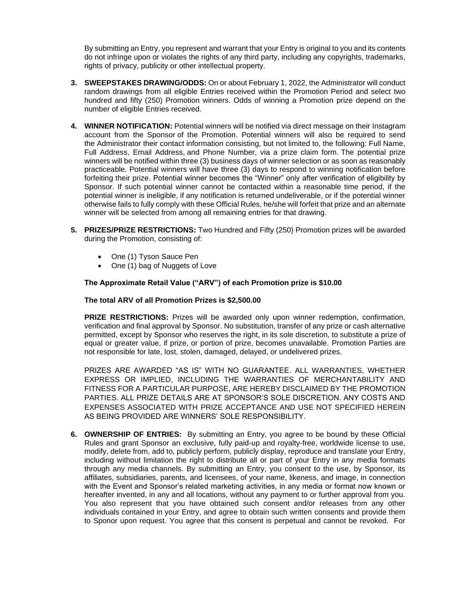By submitting an Entry, you represent and warrant that your Entry is original to you and its contents do not infringe upon or violates the rights of any third party, including any copyrights, trademarks, rights of privacy, publicity or other intellectual property.

- **3. SWEEPSTAKES DRAWING/ODDS:** On or about February 1, 2022, the Administrator will conduct random drawings from all eligible Entries received within the Promotion Period and select two hundred and fifty (250) Promotion winners. Odds of winning a Promotion prize depend on the number of eligible Entries received.
- **4. WINNER NOTIFICATION:** Potential winners will be notified via direct message on their Instagram account from the Sponsor of the Promotion. Potential winners will also be required to send the Administrator their contact information consisting, but not limited to, the following: Full Name, Full Address, Email Address, and Phone Number, via a prize claim form. The potential prize winners will be notified within three (3) business days of winner selection or as soon as reasonably practiceable. Potential winners will have three (3) days to respond to winning notification before forfeiting their prize. Potential winner becomes the "Winner" only after verification of eligibility by Sponsor. If such potential winner cannot be contacted within a reasonable time period, if the potential winner is ineligible, if any notification is returned undeliverable, or if the potential winner otherwise fails to fully comply with these Official Rules, he/she will forfeit that prize and an alternate winner will be selected from among all remaining entries for that drawing.
- **5. PRIZES/PRIZE RESTRICTIONS:** Two Hundred and Fifty (250) Promotion prizes will be awarded during the Promotion, consisting of:
	- One (1) Tyson Sauce Pen
	- One (1) bag of Nuggets of Love

## **The Approximate Retail Value ("ARV") of each Promotion prize is \$10.00**

## **The total ARV of all Promotion Prizes is \$2,500.00**

**PRIZE RESTRICTIONS:** Prizes will be awarded only upon winner redemption, confirmation, verification and final approval by Sponsor. No substitution, transfer of any prize or cash alternative permitted, except by Sponsor who reserves the right, in its sole discretion, to substitute a prize of equal or greater value, if prize, or portion of prize, becomes unavailable. Promotion Parties are not responsible for late, lost, stolen, damaged, delayed, or undelivered prizes.

PRIZES ARE AWARDED "AS IS" WITH NO GUARANTEE. ALL WARRANTIES, WHETHER EXPRESS OR IMPLIED, INCLUDING THE WARRANTIES OF MERCHANTABILITY AND FITNESS FOR A PARTICULAR PURPOSE, ARE HEREBY DISCLAIMED BY THE PROMOTION PARTIES. ALL PRIZE DETAILS ARE AT SPONSOR'S SOLE DISCRETION. ANY COSTS AND EXPENSES ASSOCIATED WITH PRIZE ACCEPTANCE AND USE NOT SPECIFIED HEREIN AS BEING PROVIDED ARE WINNERS' SOLE RESPONSIBILITY.

**6. OWNERSHIP OF ENTRIES:** By submitting an Entry, you agree to be bound by these Official Rules and grant Sponsor an exclusive, fully paid-up and royalty-free, worldwide license to use, modify, delete from, add to, publicly perform, publicly display, reproduce and translate your Entry, including without limitation the right to distribute all or part of your Entry in any media formats through any media channels. By submitting an Entry, you consent to the use, by Sponsor, its affiliates, subsidiaries, parents, and licensees, of your name, likeness, and image, in connection with the Event and Sponsor's related marketing activities, in any media or format now known or hereafter invented, in any and all locations, without any payment to or further approval from you. You also represent that you have obtained such consent and/or releases from any other individuals contained in your Entry, and agree to obtain such written consents and provide them to Sponor upon request. You agree that this consent is perpetual and cannot be revoked. For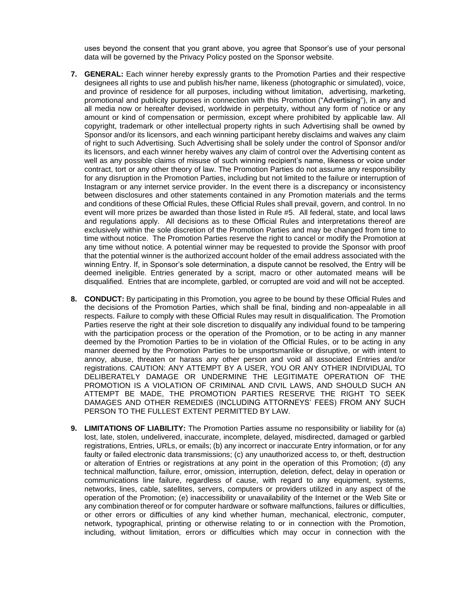uses beyond the consent that you grant above, you agree that Sponsor's use of your personal data will be governed by the Privacy Policy posted on the Sponsor website.

- **7. GENERAL:** Each winner hereby expressly grants to the Promotion Parties and their respective designees all rights to use and publish his/her name, likeness (photographic or simulated), voice, and province of residence for all purposes, including without limitation, advertising, marketing, promotional and publicity purposes in connection with this Promotion ("Advertising"), in any and all media now or hereafter devised, worldwide in perpetuity, without any form of notice or any amount or kind of compensation or permission, except where prohibited by applicable law. All copyright, trademark or other intellectual property rights in such Advertising shall be owned by Sponsor and/or its licensors, and each winning participant hereby disclaims and waives any claim of right to such Advertising. Such Advertising shall be solely under the control of Sponsor and/or its licensors, and each winner hereby waives any claim of control over the Advertising content as well as any possible claims of misuse of such winning recipient's name, likeness or voice under contract, tort or any other theory of law. The Promotion Parties do not assume any responsibility for any disruption in the Promotion Parties, including but not limited to the failure or interruption of Instagram or any internet service provider. In the event there is a discrepancy or inconsistency between disclosures and other statements contained in any Promotion materials and the terms and conditions of these Official Rules, these Official Rules shall prevail, govern, and control. In no event will more prizes be awarded than those listed in Rule #5. All federal, state, and local laws and regulations apply. All decisions as to these Official Rules and interpretations thereof are exclusively within the sole discretion of the Promotion Parties and may be changed from time to time without notice. The Promotion Parties reserve the right to cancel or modify the Promotion at any time without notice. A potential winner may be requested to provide the Sponsor with proof that the potential winner is the authorized account holder of the email address associated with the winning Entry. If, in Sponsor's sole determination, a dispute cannot be resolved, the Entry will be deemed ineligible. Entries generated by a script, macro or other automated means will be disqualified. Entries that are incomplete, garbled, or corrupted are void and will not be accepted.
- **8. CONDUCT:** By participating in this Promotion, you agree to be bound by these Official Rules and the decisions of the Promotion Parties, which shall be final, binding and non-appealable in all respects. Failure to comply with these Official Rules may result in disqualification. The Promotion Parties reserve the right at their sole discretion to disqualify any individual found to be tampering with the participation process or the operation of the Promotion, or to be acting in any manner deemed by the Promotion Parties to be in violation of the Official Rules, or to be acting in any manner deemed by the Promotion Parties to be unsportsmanlike or disruptive, or with intent to annoy, abuse, threaten or harass any other person and void all associated Entries and/or registrations. CAUTION: ANY ATTEMPT BY A USER, YOU OR ANY OTHER INDIVIDUAL TO DELIBERATELY DAMAGE OR UNDERMINE THE LEGITIMATE OPERATION OF THE PROMOTION IS A VIOLATION OF CRIMINAL AND CIVIL LAWS, AND SHOULD SUCH AN ATTEMPT BE MADE, THE PROMOTION PARTIES RESERVE THE RIGHT TO SEEK DAMAGES AND OTHER REMEDIES (INCLUDING ATTORNEYS' FEES) FROM ANY SUCH PERSON TO THE FULLEST EXTENT PERMITTED BY LAW.
- **9. LIMITATIONS OF LIABILITY:** The Promotion Parties assume no responsibility or liability for (a) lost, late, stolen, undelivered, inaccurate, incomplete, delayed, misdirected, damaged or garbled registrations, Entries, URLs, or emails; (b) any incorrect or inaccurate Entry information, or for any faulty or failed electronic data transmissions; (c) any unauthorized access to, or theft, destruction or alteration of Entries or registrations at any point in the operation of this Promotion; (d) any technical malfunction, failure, error, omission, interruption, deletion, defect, delay in operation or communications line failure, regardless of cause, with regard to any equipment, systems, networks, lines, cable, satellites, servers, computers or providers utilized in any aspect of the operation of the Promotion; (e) inaccessibility or unavailability of the Internet or the Web Site or any combination thereof or for computer hardware or software malfunctions, failures or difficulties, or other errors or difficulties of any kind whether human, mechanical, electronic, computer, network, typographical, printing or otherwise relating to or in connection with the Promotion, including, without limitation, errors or difficulties which may occur in connection with the